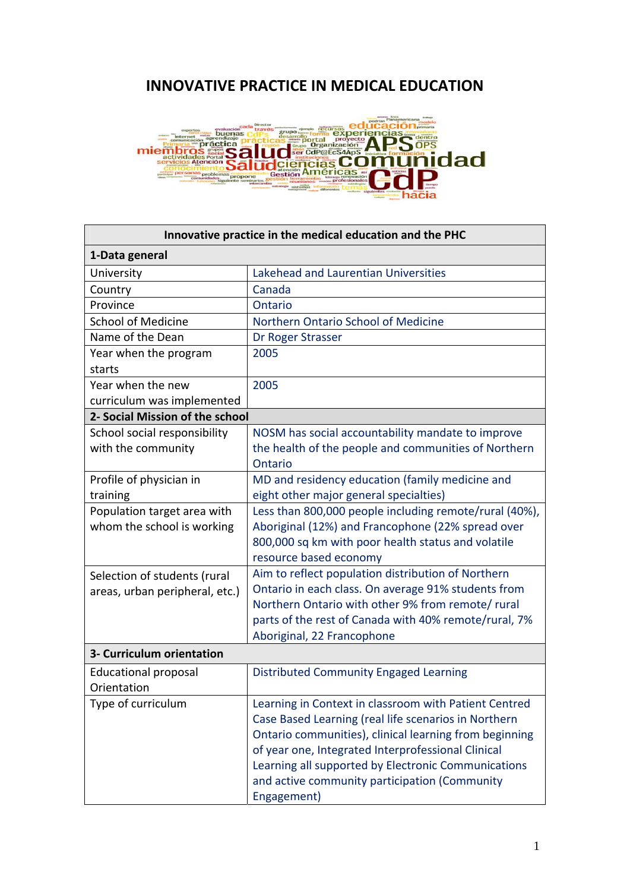## **INNOVATIVE PRACTICE IN MEDICAL EDUCATION**



| Innovative practice in the medical education and the PHC |                                                        |  |
|----------------------------------------------------------|--------------------------------------------------------|--|
| 1-Data general                                           |                                                        |  |
| University                                               | Lakehead and Laurentian Universities                   |  |
| Country                                                  | Canada                                                 |  |
| Province                                                 | Ontario                                                |  |
| <b>School of Medicine</b>                                | Northern Ontario School of Medicine                    |  |
| Name of the Dean                                         | Dr Roger Strasser                                      |  |
| Year when the program                                    | 2005                                                   |  |
| starts                                                   |                                                        |  |
| Year when the new                                        | 2005                                                   |  |
| curriculum was implemented                               |                                                        |  |
| 2- Social Mission of the school                          |                                                        |  |
| School social responsibility                             | NOSM has social accountability mandate to improve      |  |
| with the community                                       | the health of the people and communities of Northern   |  |
|                                                          | Ontario                                                |  |
| Profile of physician in                                  | MD and residency education (family medicine and        |  |
| training                                                 | eight other major general specialties)                 |  |
| Population target area with                              | Less than 800,000 people including remote/rural (40%), |  |
| whom the school is working                               | Aboriginal (12%) and Francophone (22% spread over      |  |
|                                                          | 800,000 sq km with poor health status and volatile     |  |
|                                                          | resource based economy                                 |  |
| Selection of students (rural                             | Aim to reflect population distribution of Northern     |  |
| areas, urban peripheral, etc.)                           | Ontario in each class. On average 91% students from    |  |
|                                                          | Northern Ontario with other 9% from remote/rural       |  |
|                                                          | parts of the rest of Canada with 40% remote/rural, 7%  |  |
|                                                          | Aboriginal, 22 Francophone                             |  |
| 3- Curriculum orientation                                |                                                        |  |
| Educational proposal                                     | <b>Distributed Community Engaged Learning</b>          |  |
| Orientation                                              |                                                        |  |
| Type of curriculum                                       | Learning in Context in classroom with Patient Centred  |  |
|                                                          | Case Based Learning (real life scenarios in Northern   |  |
|                                                          | Ontario communities), clinical learning from beginning |  |
|                                                          | of year one, Integrated Interprofessional Clinical     |  |
|                                                          | Learning all supported by Electronic Communications    |  |
|                                                          | and active community participation (Community          |  |
|                                                          | Engagement)                                            |  |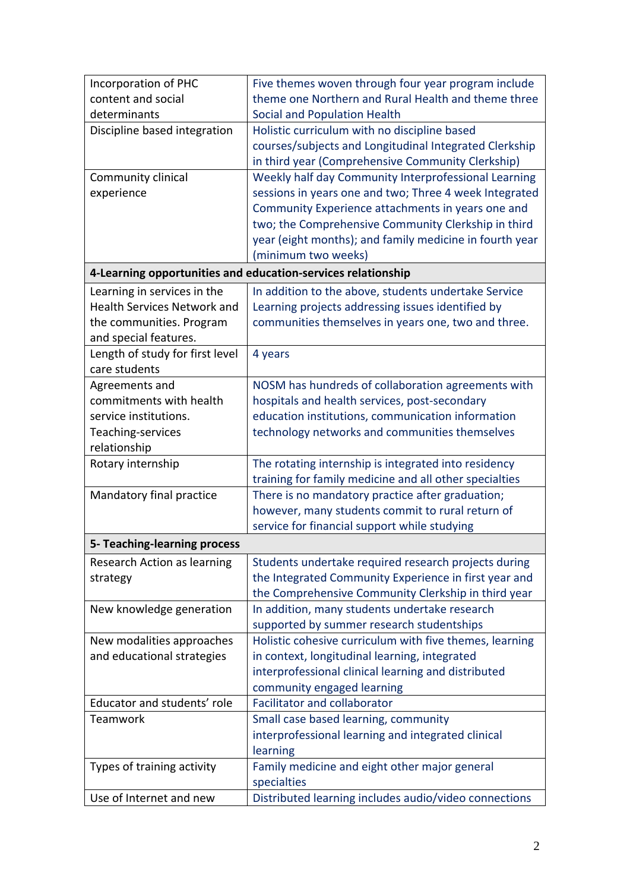| Incorporation of PHC                                         | Five themes woven through four year program include     |  |
|--------------------------------------------------------------|---------------------------------------------------------|--|
| content and social                                           | theme one Northern and Rural Health and theme three     |  |
| determinants                                                 | Social and Population Health                            |  |
| Discipline based integration                                 | Holistic curriculum with no discipline based            |  |
|                                                              | courses/subjects and Longitudinal Integrated Clerkship  |  |
|                                                              | in third year (Comprehensive Community Clerkship)       |  |
| Community clinical                                           | Weekly half day Community Interprofessional Learning    |  |
| experience                                                   | sessions in years one and two; Three 4 week Integrated  |  |
|                                                              | Community Experience attachments in years one and       |  |
|                                                              | two; the Comprehensive Community Clerkship in third     |  |
|                                                              | year (eight months); and family medicine in fourth year |  |
|                                                              | (minimum two weeks)                                     |  |
| 4-Learning opportunities and education-services relationship |                                                         |  |
| Learning in services in the                                  | In addition to the above, students undertake Service    |  |
| <b>Health Services Network and</b>                           | Learning projects addressing issues identified by       |  |
| the communities. Program                                     | communities themselves in years one, two and three.     |  |
| and special features.                                        |                                                         |  |
| Length of study for first level                              | 4 years                                                 |  |
| care students                                                |                                                         |  |
| Agreements and                                               | NOSM has hundreds of collaboration agreements with      |  |
| commitments with health                                      | hospitals and health services, post-secondary           |  |
| service institutions.                                        | education institutions, communication information       |  |
| Teaching-services                                            | technology networks and communities themselves          |  |
| relationship                                                 |                                                         |  |
| Rotary internship                                            | The rotating internship is integrated into residency    |  |
|                                                              | training for family medicine and all other specialties  |  |
| Mandatory final practice                                     | There is no mandatory practice after graduation;        |  |
|                                                              | however, many students commit to rural return of        |  |
|                                                              | service for financial support while studying            |  |
| 5- Teaching-learning process                                 |                                                         |  |
| Research Action as learning                                  | Students undertake required research projects during    |  |
| strategy                                                     | the Integrated Community Experience in first year and   |  |
|                                                              | the Comprehensive Community Clerkship in third year     |  |
| New knowledge generation                                     | In addition, many students undertake research           |  |
|                                                              | supported by summer research studentships               |  |
| New modalities approaches                                    | Holistic cohesive curriculum with five themes, learning |  |
| and educational strategies                                   | in context, longitudinal learning, integrated           |  |
|                                                              | interprofessional clinical learning and distributed     |  |
|                                                              | community engaged learning                              |  |
| Educator and students' role                                  | <b>Facilitator and collaborator</b>                     |  |
| Teamwork                                                     | Small case based learning, community                    |  |
|                                                              | interprofessional learning and integrated clinical      |  |
|                                                              | learning                                                |  |
| Types of training activity                                   | Family medicine and eight other major general           |  |
|                                                              | specialties                                             |  |
| Use of Internet and new                                      | Distributed learning includes audio/video connections   |  |